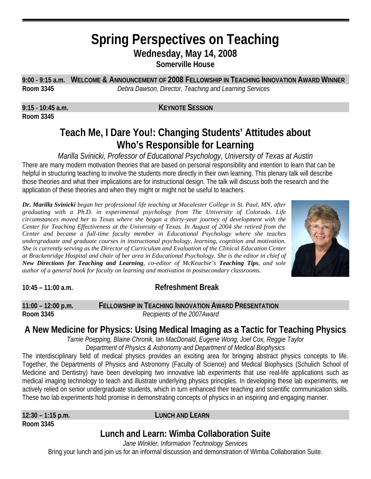# **Spring Perspectives on Teaching Wednesday, May 14, 2008**

**Somerville House** 

**9:00 - 9:15 a.m. WELCOME & ANNOUNCEMENT OF 2008 FELLOWSHIP IN TEACHING INNOVATION AWARD WINNER Room 3345** *Debra Dawson, Director, Teaching and Learning Services*

**Room 3345**

**9:15 - 10:45 a.m. KEYNOTE SESSION**

# **Teach Me, I Dare You!: Changing Students' Attitudes about Who's Responsible for Learning**

*Marilla Svinicki, Professor of Educational Psychology, University of Texas at Austin*  There are many modern motivation theories that are based on personal responsibility and intention to learn that can be helpful in structuring teaching to involve the students more directly in their own learning. This plenary talk will describe those theories and what their implications are for instructional design. The talk will discuss both the research and the application of these theories and when they might or might not be useful to teachers.

*Dr. Marilla Svinicki began her professional life teaching at Macalester College in St. Paul, MN, after graduating with a Ph.D. in experimental psychology from The University of Colorado. Life circumstances moved her to Texas where she began a thirty-year journey of development with the Center for Teaching Effectiveness at the University of Texas. In August of 2004 she retired from the Center and became a full-time faculty member in Educational Psychology where she teaches undergraduate and graduate courses in instructional psychology, learning, cognition and motivation. She is currently serving as the Director of Curriculum and Evaluation of the Clinical Education Center at Brackenridge Hospital and chair of her area in Educational Psychology. She is the editor in chief of New Directions for Teaching and Learning, co-editor of McKeachie's Teaching Tips, and sole author of a general book for faculty on learning and motivation in postsecondary classrooms.* 



#### **10:45 – 11:00 a.m. Refreshment Break**

**11:00 – 12:00 p.m. FELLOWSHIP IN TEACHING INNOVATION AWARD PRESENTATION Room 3345** *Recipients of the 2007Award* 

### **A New Medicine for Physics: Using Medical Imaging as a Tactic for Teaching Physics**

*Tamie Poepping, Blaine Chronik, Ian MacDonald, Eugene Wong, Joel Cox, Reggie Taylor Department of Physics & Astronomy and Department of Medical Biophysics*

The interdisciplinary field of medical physics provides an exciting area for bringing abstract physics concepts to life. Together, the Departments of Physics and Astronomy (Faculty of Science) and Medical Biophysics (Schulich School of Medicine and Dentistry) have been developing two innovative lab experiments that use real-life applications such as medical imaging technology to teach and illustrate underlying physics principles. In developing these lab experiments, we actively relied on senior undergraduate students, which in turn enhanced their teaching and scientific communication skills. These two lab experiments hold promise in demonstrating concepts of physics in an inspiring and engaging manner.

**Room 3345** 

#### **12:30 – 1:15 p.m. LUNCH AND LEARN**

# **Lunch and Learn: Wimba Collaboration Suite**

*Jane Winkler, Information Technology Services*  Bring your lunch and join us for an informal discussion and demonstration of Wimba Collaboration Suite.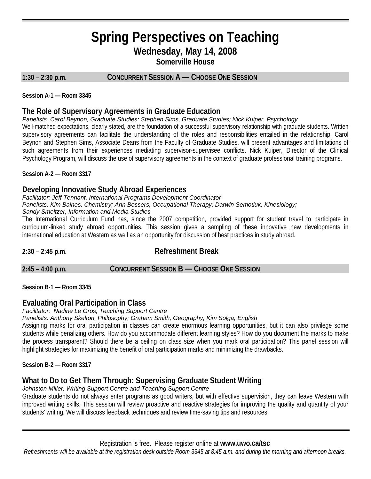# **Spring Perspectives on Teaching Wednesday, May 14, 2008**

**Somerville House**

#### **1:30 – 2:30 p.m. CONCURRENT SESSION A — CHOOSE ONE SESSION**

**Session A-1 — Room 3345**

L

#### **The Role of Supervisory Agreements in Graduate Education**

#### *Panelists: Carol Beynon, Graduate Studies; Stephen Sims, Graduate Studies; Nick Kuiper, Psychology*

Well-matched expectations, clearly stated, are the foundation of a successful supervisory relationship with graduate students. Written supervisory agreements can facilitate the understanding of the roles and responsibilities entailed in the relationship. Carol Beynon and Stephen Sims, Associate Deans from the Faculty of Graduate Studies, will present advantages and limitations of such agreements from their experiences mediating supervisor-supervisee conflicts. Nick Kuiper, Director of the Clinical Psychology Program, will discuss the use of supervisory agreements in the context of graduate professional training programs.

**Session A-2 — Room 3317**

#### **Developing Innovative Study Abroad Experiences**

*Facilitator: Jeff Tennant, International Programs Development Coordinator* 

*Panelists: Kim Baines, Chemistry; Ann Bossers, Occupational Therapy; Darwin Semotiuk, Kinesiology;* 

*Sandy Smeltzer, Information and Media Studies* 

The International Curriculum Fund has, since the 2007 competition, provided support for student travel to participate in curriculum-linked study abroad opportunities. This session gives a sampling of these innovative new developments in international education at Western as well as an opportunity for discussion of best practices in study abroad.

**2:30 – 2:45 p.m. Refreshment Break**

**2:45 – 4:00 p.m. CONCURRENT SESSION B — CHOOSE ONE SESSION**

**Session B-1 — Room 3345**

#### **Evaluating Oral Participation in Class**

#### *Facilitator: Nadine Le Gros, Teaching Support Centre*

*Panelists: Anthony Skelton, Philosophy; Graham Smith, Geography; Kim Solga, English*

Assigning marks for oral participation in classes can create enormous learning opportunities, but it can also privilege some students while penalizing others. How do you accommodate different learning styles? How do you document the marks to make the process transparent? Should there be a ceiling on class size when you mark oral participation? This panel session will highlight strategies for maximizing the benefit of oral participation marks and minimizing the drawbacks.

**Session B-2 — Room 3317**

#### **What to Do to Get Them Through: Supervising Graduate Student Writing**

*Johnston Miller, Writing Support Centre and Teaching Support Centre* 

Graduate students do not always enter programs as good writers, but with effective supervision, they can leave Western with improved writing skills. This session will review proactive and reactive strategies for improving the quality and quantity of your students' writing. We will discuss feedback techniques and review time-saving tips and resources.